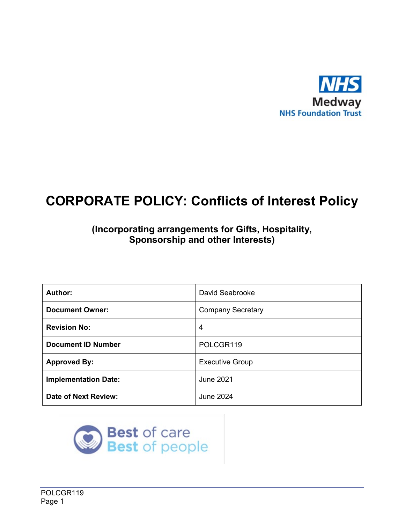

## **(Incorporating arrangements for Gifts, Hospitality, Sponsorship and other Interests)**

| Author:                     | David Seabrooke          |
|-----------------------------|--------------------------|
| <b>Document Owner:</b>      | <b>Company Secretary</b> |
| <b>Revision No:</b>         | 4                        |
| <b>Document ID Number</b>   | POLCGR119                |
| <b>Approved By:</b>         | <b>Executive Group</b>   |
| <b>Implementation Date:</b> | <b>June 2021</b>         |
| <b>Date of Next Review:</b> | June 2024                |

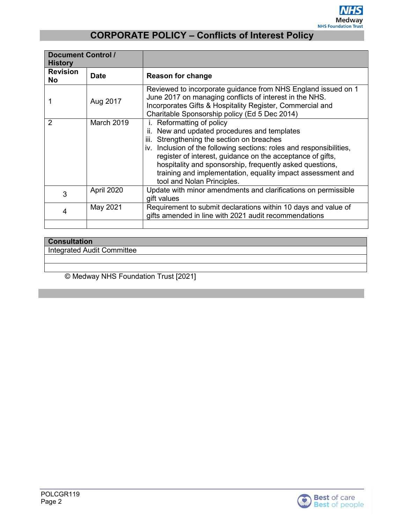

| <b>Document Control /</b><br><b>History</b> |                   |                                                                                                                                                                                                                                                                                                                                                                                                                              |  |  |
|---------------------------------------------|-------------------|------------------------------------------------------------------------------------------------------------------------------------------------------------------------------------------------------------------------------------------------------------------------------------------------------------------------------------------------------------------------------------------------------------------------------|--|--|
| <b>Revision</b><br><b>No</b>                | <b>Date</b>       | <b>Reason for change</b>                                                                                                                                                                                                                                                                                                                                                                                                     |  |  |
|                                             | Aug 2017          | Reviewed to incorporate guidance from NHS England issued on 1<br>June 2017 on managing conflicts of interest in the NHS.<br>Incorporates Gifts & Hospitality Register, Commercial and<br>Charitable Sponsorship policy (Ed 5 Dec 2014)                                                                                                                                                                                       |  |  |
| $\mathcal{P}$                               | <b>March 2019</b> | i. Reformatting of policy<br>New and updated procedures and templates<br>II.<br>Strengthening the section on breaches<br>iii.<br>iv. Inclusion of the following sections: roles and responsibilities,<br>register of interest, guidance on the acceptance of gifts,<br>hospitality and sponsorship, frequently asked questions,<br>training and implementation, equality impact assessment and<br>tool and Nolan Principles. |  |  |
| 3                                           | April 2020        | Update with minor amendments and clarifications on permissible<br>gift values                                                                                                                                                                                                                                                                                                                                                |  |  |
| 4                                           | May 2021          | Requirement to submit declarations within 10 days and value of<br>gifts amended in line with 2021 audit recommendations                                                                                                                                                                                                                                                                                                      |  |  |
|                                             |                   |                                                                                                                                                                                                                                                                                                                                                                                                                              |  |  |

| <b>Consultation</b>          |  |
|------------------------------|--|
| I Integrated Audit Committee |  |
|                              |  |

© Medway NHS Foundation Trust [2021]

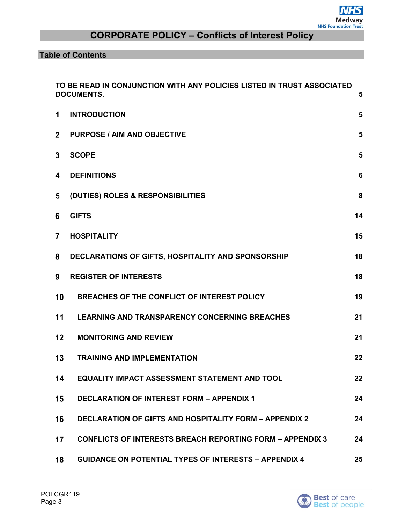**Table of Contents**

|                | TO BE READ IN CONJUNCTION WITH ANY POLICIES LISTED IN TRUST ASSOCIATED<br><b>DOCUMENTS.</b><br>5 |                 |  |
|----------------|--------------------------------------------------------------------------------------------------|-----------------|--|
| 1              | <b>INTRODUCTION</b>                                                                              | 5               |  |
| $\overline{2}$ | <b>PURPOSE / AIM AND OBJECTIVE</b>                                                               | 5               |  |
| 3              | <b>SCOPE</b>                                                                                     | 5               |  |
| 4              | <b>DEFINITIONS</b>                                                                               | $6\phantom{1}6$ |  |
| 5              | (DUTIES) ROLES & RESPONSIBILITIES                                                                | 8               |  |
| 6              | <b>GIFTS</b>                                                                                     | 14              |  |
| $\overline{7}$ | <b>HOSPITALITY</b>                                                                               | 15              |  |
| 8              | DECLARATIONS OF GIFTS, HOSPITALITY AND SPONSORSHIP                                               | 18              |  |
| 9              | <b>REGISTER OF INTERESTS</b>                                                                     | 18              |  |
| 10             | BREACHES OF THE CONFLICT OF INTEREST POLICY                                                      | 19              |  |
| 11             | <b>LEARNING AND TRANSPARENCY CONCERNING BREACHES</b>                                             | 21              |  |
| 12             | <b>MONITORING AND REVIEW</b>                                                                     | 21              |  |
| 13             | <b>TRAINING AND IMPLEMENTATION</b>                                                               | 22              |  |
| 14             | EQUALITY IMPACT ASSESSMENT STATEMENT AND TOOL                                                    | 22              |  |
| 15             | <b>DECLARATION OF INTEREST FORM - APPENDIX 1</b>                                                 | 24              |  |
| 16             | <b>DECLARATION OF GIFTS AND HOSPITALITY FORM - APPENDIX 2</b>                                    | 24              |  |
| 17             | <b>CONFLICTS OF INTERESTS BREACH REPORTING FORM - APPENDIX 3</b>                                 | 24              |  |
| 18             | <b>GUIDANCE ON POTENTIAL TYPES OF INTERESTS - APPENDIX 4</b>                                     | 25              |  |

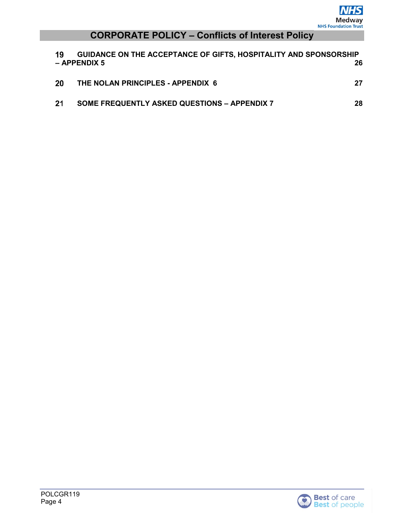| 19 | GUIDANCE ON THE ACCEPTANCE OF GIFTS, HOSPITALITY AND SPONSORSHIP<br>$-$ APPENDIX 5 | 26 |
|----|------------------------------------------------------------------------------------|----|
| 20 | THE NOLAN PRINCIPLES - APPENDIX 6                                                  | 27 |
| 21 | <b>SOME FREQUENTLY ASKED QUESTIONS - APPENDIX 7</b>                                | 28 |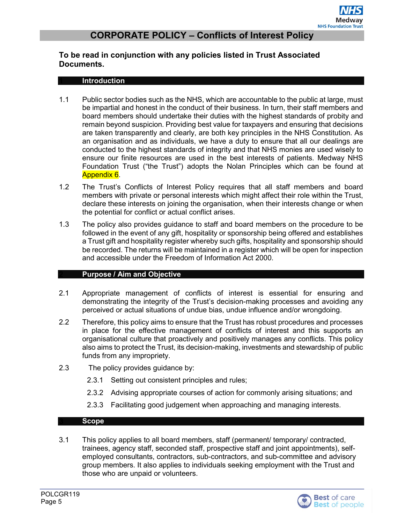#### <span id="page-4-1"></span><span id="page-4-0"></span>**To be read in conjunction with any policies listed in Trust Associated Documents.**

#### **Introduction**

- 1.1 Public sector bodies such as the NHS, which are accountable to the public at large, must be impartial and honest in the conduct of their business. In turn, their staff members and board members should undertake their duties with the highest standards of probity and remain beyond suspicion. Providing best value for taxpayers and ensuring that decisions are taken transparently and clearly, are both key principles in the NHS Constitution. As an organisation and as individuals, we have a duty to ensure that all our dealings are conducted to the highest standards of integrity and that NHS monies are used wisely to ensure our finite resources are used in the best interests of patients. Medway NHS Foundation Trust ("the Trust") adopts the Nolan Principles which can be found at Appendix 6.
- 1.2 The Trust's Conflicts of Interest Policy requires that all staff members and board members with private or personal interests which might affect their role within the Trust, declare these interests on joining the organisation, when their interests change or when the potential for conflict or actual conflict arises.
- 1.3 The policy also provides guidance to staff and board members on the procedure to be followed in the event of any gift, hospitality or sponsorship being offered and establishes a Trust gift and hospitality register whereby such gifts, hospitality and sponsorship should be recorded. The returns will be maintained in a register which will be open for inspection and accessible under the Freedom of Information Act 2000.

#### **Purpose / Aim and Objective**

- <span id="page-4-2"></span>2.1 Appropriate management of conflicts of interest is essential for ensuring and demonstrating the integrity of the Trust's decision-making processes and avoiding any perceived or actual situations of undue bias, undue influence and/or wrongdoing.
- 2.2 Therefore, this policy aims to ensure that the Trust has robust procedures and processes in place for the effective management of conflicts of interest and this supports an organisational culture that proactively and positively manages any conflicts. This policy also aims to protect the Trust, its decision-making, investments and stewardship of public funds from any impropriety.
- 2.3 The policy provides guidance by:
	- 2.3.1 Setting out consistent principles and rules;
	- 2.3.2 Advising appropriate courses of action for commonly arising situations; and
	- 2.3.3 Facilitating good judgement when approaching and managing interests.

#### **Scope**

<span id="page-4-3"></span>3.1 This policy applies to all board members, staff (permanent/ temporary/ contracted, trainees, agency staff, seconded staff, prospective staff and joint appointments), selfemployed consultants, contractors, sub-contractors, and sub-committee and advisory group members. It also applies to individuals seeking employment with the Trust and those who are unpaid or volunteers.

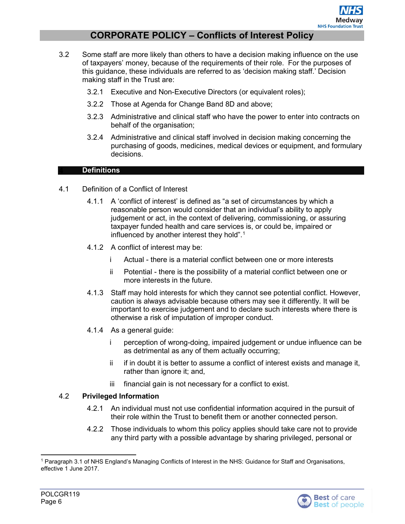- 3.2 Some staff are more likely than others to have a decision making influence on the use of taxpayers' money, because of the requirements of their role. For the purposes of this guidance, these individuals are referred to as 'decision making staff.' Decision making staff in the Trust are:
	- 3.2.1 Executive and Non-Executive Directors (or equivalent roles);
	- 3.2.2 Those at Agenda for Change Band 8D and above;
	- 3.2.3 Administrative and clinical staff who have the power to enter into contracts on behalf of the organisation;
	- 3.2.4 Administrative and clinical staff involved in decision making concerning the purchasing of goods, medicines, medical devices or equipment, and formulary decisions.

#### **Definitions**

- <span id="page-5-0"></span>4.1 Definition of a Conflict of Interest
	- 4.1.1 A 'conflict of interest' is defined as "a set of circumstances by which a reasonable person would consider that an individual's ability to apply judgement or act, in the context of delivering, commissioning, or assuring taxpayer funded health and care services is, or could be, impaired or influenced by another interest they hold".<sup>[1](#page-5-1)</sup>
	- 4.1.2 A conflict of interest may be:
		- i Actual there is a material conflict between one or more interests
		- ii Potential there is the possibility of a material conflict between one or more interests in the future.
	- 4.1.3 Staff may hold interests for which they cannot see potential conflict. However, caution is always advisable because others may see it differently. It will be important to exercise judgement and to declare such interests where there is otherwise a risk of imputation of improper conduct.
	- 4.1.4 As a general guide:
		- i perception of wrong-doing, impaired judgement or undue influence can be as detrimental as any of them actually occurring;
		- ii if in doubt it is better to assume a conflict of interest exists and manage it, rather than ignore it; and,
		- iii financial gain is not necessary for a conflict to exist.

#### 4.2 **Privileged Information**

- 4.2.1 An individual must not use confidential information acquired in the pursuit of their role within the Trust to benefit them or another connected person.
- 4.2.2 Those individuals to whom this policy applies should take care not to provide any third party with a possible advantage by sharing privileged, personal or

<span id="page-5-1"></span> <sup>1</sup> Paragraph 3.1 of NHS England's Managing Conflicts of Interest in the NHS: Guidance for Staff and Organisations, effective 1 June 2017.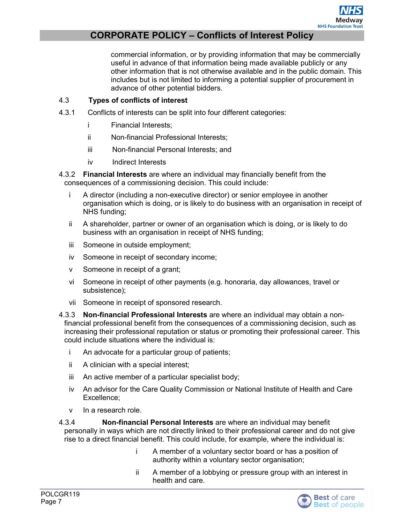commercial information, or by providing information that may be commercially useful in advance of that information being made available publicly or any other information that is not otherwise available and in the public domain. This includes but is not limited to informing a potential supplier of procurement in advance of other potential bidders.

#### 4.3 **Types of conflicts of interest**

- 4.3.1 Conflicts of interests can be split into four different categories:
	- i Financial Interests;
	- ii Non-financial Professional Interests;
	- iii Non-financial Personal Interests; and
	- iv Indirect Interests

4.3.2 **Financial Interests** are where an individual may financially benefit from the consequences of a commissioning decision. This could include:

- i A director (including a non-executive director) or senior employee in another organisation which is doing, or is likely to do business with an organisation in receipt of NHS funding;
- ii A shareholder, partner or owner of an organisation which is doing, or is likely to do business with an organisation in receipt of NHS funding;
- iii Someone in outside employment;
- iv Someone in receipt of secondary income;
- v Someone in receipt of a grant;
- vi Someone in receipt of other payments (e.g. honoraria, day allowances, travel or subsistence);
- vii Someone in receipt of sponsored research.
- 4.3.3 **Non-financial Professional Interests** are where an individual may obtain a nonfin*a*ncial professional benefit from the consequences of a commissioning decision, such as increasing their professional reputation or status or promoting their professional career. This could include situations where the individual is:
	- i An advocate for a particular group of patients;
	- ii A clinician with a special interest;
	- iii An active member of a particular specialist body;
	- iv An advisor for the Care Quality Commission or National Institute of Health and Care Excellence;
	- v In a research role.

4.3.4 **Non-financial Personal Interests** are where an individual may benefit personally in ways which are not directly linked to their professional career and do not give rise to a direct financial benefit. This could include, for example, where the individual is:

- i A member of a voluntary sector board or has a position of authority within a voluntary sector organisation;
- ii A member of a lobbying or pressure group with an interest in health and care.

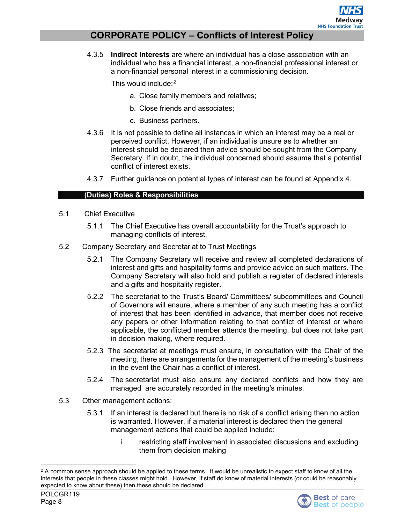4.3.5 **Indirect Interests** are where an individual has a close association with an individual who has a financial interest, a non-financial professional interest or a non-financial personal interest in a commissioning decision.

This would include:<sup>[2](#page-7-1)</sup>

- a. Close family members and relatives;
- b. Close friends and associates;
- c. Business partners.
- 4.3.6 It is not possible to define all instances in which an interest may be a real or perceived conflict. However, if an individual is unsure as to whether an interest should be declared then advice should be sought from the Company Secretary. If in doubt, the individual concerned should assume that a potential conflict of interest exists.
- 4.3.7 Further guidance on potential types of interest can be found at Appendix 4.

#### <span id="page-7-0"></span>**(Duties) Roles & Responsibilities**

- 5.1 Chief Executive
	- 5.1.1 The Chief Executive has overall accountability for the Trust's approach to managing conflicts of interest.
- 5.2 Company Secretary and Secretariat to Trust Meetings
	- 5.2.1 The Company Secretary will receive and review all completed declarations of interest and gifts and hospitality forms and provide advice on such matters. The Company Secretary will also hold and publish a register of declared interests and a gifts and hospitality register.
	- 5.2.2 The secretariat to the Trust's Board/ Committees/ subcommittees and Council of Governors will ensure, where a member of any such meeting has a conflict of interest that has been identified in advance, that member does not receive any papers or other information relating to that conflict of interest or where applicable, the conflicted member attends the meeting, but does not take part in decision making, where required.
	- 5.2.3 The secretariat at meetings must ensure, in consultation with the Chair of the meeting, there are arrangements for the management of the meeting's business in the event the Chair has a conflict of interest.
	- 5.2.4 The secretariat must also ensure any declared conflicts and how they are managed are accurately recorded in the meeting's minutes.
- 5.3 Other management actions:
	- 5.3.1 If an interest is declared but there is no risk of a conflict arising then no action is warranted. However, if a material interest is declared then the general management actions that could be applied include:
		- i restricting staff involvement in associated discussions and excluding them from decision making

<span id="page-7-1"></span> $2$  A common sense approach should be applied to these terms. It would be unrealistic to expect staff to know of all the interests that people in these classes might hold. However, if staff do know of material interests (or could be reasonably expected to know about these) then these should be declared.

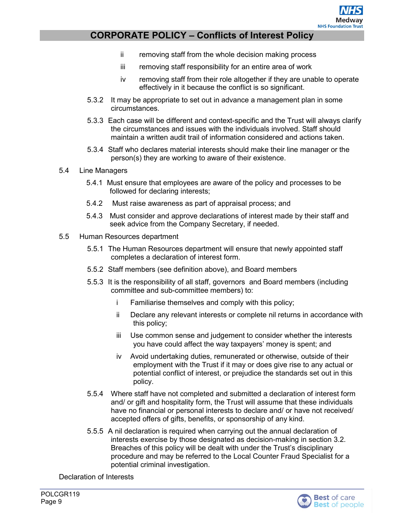

- ii removing staff from the whole decision making process
- iii removing staff responsibility for an entire area of work
- iv removing staff from their role altogether if they are unable to operate effectively in it because the conflict is so significant.
- 5.3.2 It may be appropriate to set out in advance a management plan in some circumstances.
- 5.3.3 Each case will be different and context-specific and the Trust will always clarify the circumstances and issues with the individuals involved. Staff should maintain a written audit trail of information considered and actions taken.
- 5.3.4 Staff who declares material interests should make their line manager or the person(s) they are working to aware of their existence.
- 5.4 Line Managers
	- 5.4.1 Must ensure that employees are aware of the policy and processes to be followed for declaring interests;
	- 5.4.2 Must raise awareness as part of appraisal process; and
	- 5.4.3 Must consider and approve declarations of interest made by their staff and seek advice from the Company Secretary, if needed.
- 5.5 Human Resources department
	- 5.5.1 The Human Resources department will ensure that newly appointed staff completes a declaration of interest form.
	- 5.5.2 Staff members (see definition above), and Board members
	- 5.5.3 It is the responsibility of all staff, governors and Board members (including committee and sub-committee members) to:
		- i Familiarise themselves and comply with this policy;
		- ii Declare any relevant interests or complete nil returns in accordance with this policy;
		- iii Use common sense and judgement to consider whether the interests you have could affect the way taxpayers' money is spent; and
		- iv Avoid undertaking duties, remunerated or otherwise, outside of their employment with the Trust if it may or does give rise to any actual or potential conflict of interest, or prejudice the standards set out in this policy.
	- 5.5.4 Where staff have not completed and submitted a declaration of interest form and/ or gift and hospitality form, the Trust will assume that these individuals have no financial or personal interests to declare and/ or have not received/ accepted offers of gifts, benefits, or sponsorship of any kind.
	- 5.5.5 A nil declaration is required when carrying out the annual declaration of interests exercise by those designated as decision-making in section 3.2. Breaches of this policy will be dealt with under the Trust's disciplinary procedure and may be referred to the Local Counter Fraud Specialist for a potential criminal investigation.

Declaration of Interests

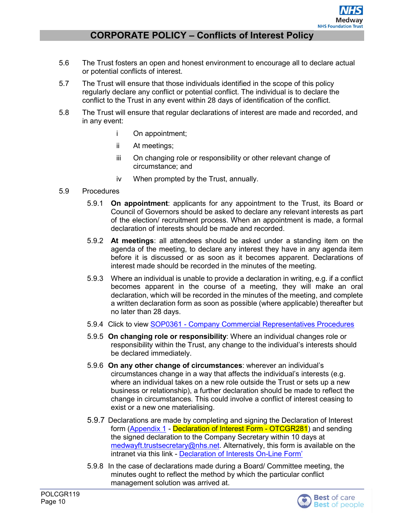- 5.6 The Trust fosters an open and honest environment to encourage all to declare actual or potential conflicts of interest.
- 5.7 The Trust will ensure that those individuals identified in the scope of this policy regularly declare any conflict or potential conflict. The individual is to declare the conflict to the Trust in any event within 28 days of identification of the conflict.
- 5.8 The Trust will ensure that regular declarations of interest are made and recorded, and in any event:
	- i On appointment;
	- ii At meetings;
	- iii On changing role or responsibility or other relevant change of circumstance; and
	- iv When prompted by the Trust, annually.
- 5.9 Procedures
	- 5.9.1 **On appointment**: applicants for any appointment to the Trust, its Board or Council of Governors should be asked to declare any relevant interests as part of the election/ recruitment process. When an appointment is made, a formal declaration of interests should be made and recorded.
	- 5.9.2 **At meetings**: all attendees should be asked under a standing item on the agenda of the meeting, to declare any interest they have in any agenda item before it is discussed or as soon as it becomes apparent. Declarations of interest made should be recorded in the minutes of the meeting.
	- 5.9.3 Where an individual is unable to provide a declaration in writing, e.g. if a conflict becomes apparent in the course of a meeting, they will make an oral declaration, which will be recorded in the minutes of the meeting, and complete a written declaration form as soon as possible (where applicable) thereafter but no later than 28 days.
	- 5.9.4 Click to view SOP0361 [Company Commercial Representatives Procedures](http://qpulse-drs.medway.nhs.uk/Corporate/Documents.svc/documents/active/attachment?number=SOP0361)
	- 5.9.5 **On changing role or responsibility**: Where an individual changes role or responsibility within the Trust, any change to the individual's interests should be declared immediately.
	- 5.9.6 **On any other change of circumstances**: wherever an individual's circumstances change in a way that affects the individual's interests (e.g. where an individual takes on a new role outside the Trust or sets up a new business or relationship), a further declaration should be made to reflect the change in circumstances. This could involve a conflict of interest ceasing to exist or a new one materialising.
	- 5.9.7 Declarations are made by completing and signing the Declaration of Interest form [\(Appendix 1](#page-23-0) - Declaration of Interest Form - OTCGR281) and sending the signed declaration to the Company Secretary within 10 days at [medwayft.trustsecretary@nhs.net.](mailto:medwayft.trustsecretary@nhs.net) Alternatively, this form is available on the intranet via this link - [Declaration of Interests On-Line Form'](https://sharepoint.medway.nhs.uk/Forms/_layouts/15/start.aspx#/Lists/Declaration%20of%20Interests/NewForm.aspx?Source=https%3A%2F%2Fsharepoint%2Emedway%2Enhs%2Euk%2FForms%2FLists%2FDeclaration%2520of%2520Interests%2FAllItems%2Easpx&RootFolder=)
	- 5.9.8 In the case of declarations made during a Board/ Committee meeting, the minutes ought to reflect the method by which the particular conflict management solution was arrived at.

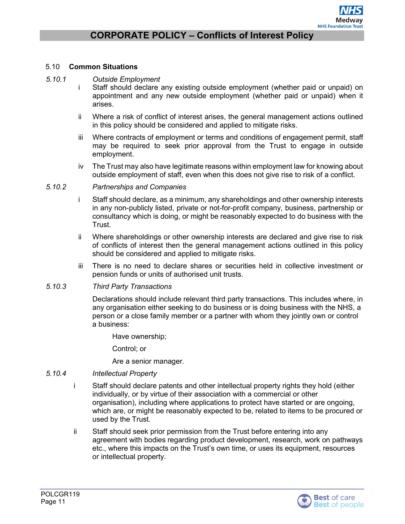#### 5.10 **Common Situations**

#### *5.10.1 Outside Employment*

- i Staff should declare any existing outside employment (whether paid or unpaid) on appointment and any new outside employment (whether paid or unpaid) when it arises.
- ii Where a risk of conflict of interest arises, the general management actions outlined in this policy should be considered and applied to mitigate risks.
- iii Where contracts of employment or terms and conditions of engagement permit, staff may be required to seek prior approval from the Trust to engage in outside employment.
- iv The Trust may also have legitimate reasons within employment law for knowing about outside employment of staff, even when this does not give rise to risk of a conflict.

#### *5.10.2 Partnerships and Companies*

- i Staff should declare, as a minimum, any shareholdings and other ownership interests in any non-publicly listed, private or not-for-profit company, business, partnership or consultancy which is doing, or might be reasonably expected to do business with the Trust.
- ii Where shareholdings or other ownership interests are declared and give rise to risk of conflicts of interest then the general management actions outlined in this policy should be considered and applied to mitigate risks.
- iii There is no need to declare shares or securities held in collective investment or pension funds or units of authorised unit trusts.

#### *5.10.3 Third Party Transactions*

Declarations should include relevant third party transactions. This includes where, in any organisation either seeking to do business or is doing business with the NHS, a person or a close family member or a partner with whom they jointly own or control a business:

Have ownership;

Control; or

Are a senior manager.

#### *5.10.4 Intellectual Property*

- i Staff should declare patents and other intellectual property rights they hold (either individually, or by virtue of their association with a commercial or other organisation), including where applications to protect have started or are ongoing, which are, or might be reasonably expected to be, related to items to be procured or used by the Trust.
- ii Staff should seek prior permission from the Trust before entering into any agreement with bodies regarding product development, research, work on pathways etc., where this impacts on the Trust's own time, or uses its equipment, resources or intellectual property.

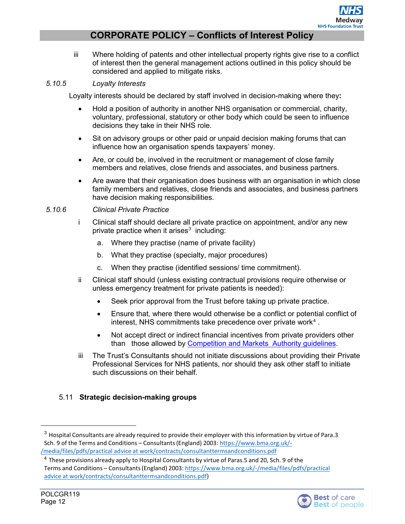iii Where holding of patents and other intellectual property rights give rise to a conflict of interest then the general management actions outlined in this policy should be considered and applied to mitigate risks.

#### *5.10.5 Loyalty Interests*

Loyalty interests should be declared by staff involved in decision-making where they**:**

- Hold a position of authority in another NHS organisation or commercial, charity, voluntary, professional, statutory or other body which could be seen to influence decisions they take in their NHS role.
- Sit on advisory groups or other paid or unpaid decision making forums that can influence how an organisation spends taxpayers' money.
- Are, or could be, involved in the recruitment or management of close family members and relatives, close friends and associates, and business partners.
- Are aware that their organisation does business with an organisation in which close family members and relatives, close friends and associates, and business partners have decision making responsibilities.
- *5.10.6 Clinical Private Practice*
	- i Clinical staff should declare all private practice on appointment, and/or any new private practice when it arises $3$  including:
		- a. Where they practise (name of private facility)
		- b. What they practise (specialty, major procedures)
		- c. When they practise (identified sessions/ time commitment).
	- ii Clinical staff should (unless existing contractual provisions require otherwise or unless emergency treatment for private patients is needed):
		- Seek prior approval from the Trust before taking up private practice.
		- Ensure that, where there would otherwise be a conflict or potential conflict of interest, NHS commitments take precedence over private work<sup>[4](#page-11-1)</sup>.
		- Not accept direct or indirect financial incentives from private providers other than those allowed by [Competition and Markets Authority guidelines.](https://assets.publishing.service.gov.uk/government/uploads/system/uploads/attachment_data/file/453465/Private_Healthcare_Market_Investigation_Order_2014.pdf)
	- iii The Trust's Consultants should not initiate discussions about providing their Private Professional Services for NHS patients, nor should they ask other staff to initiate such discussions on their behalf.

#### 5.11 **Strategic decision-making groups**

<span id="page-11-0"></span><sup>&</sup>lt;sup>3</sup> Hospital Consultants are already required to provide their employer with this information by virtue of Para.3 Sch. 9 of the Terms and Conditions – Consultants(England) 2003: [https://www.bma.org.uk/-](https://www.bma.org.uk/-/media/files/pdfs/practical%20advice%20at%20work/contracts/consultanttermsandconditions.pdf) /media/files/pdfs/practical advice at [work/contracts/consultanttermsandconditions.pdf](https://www.bma.org.uk/-/media/files/pdfs/practical%20advice%20at%20work/contracts/consultanttermsandconditions.pdf)

<span id="page-11-1"></span><sup>&</sup>lt;sup>4</sup> These provisions already apply to Hospital Consultants by virtue of Paras.5 and 20, Sch. 9 of the Terms and Conditions – Consultants(England) 2003: [https://www.bma.org.uk/-/media/files/pdfs/practical](https://www.bma.org.uk/-/media/files/pdfs/practical%20advice%20at%20work/contracts/consultanttermsandconditions.pdf) advice at [work/contracts/consultanttermsandconditions.pdf\)](https://www.bma.org.uk/-/media/files/pdfs/practical%20advice%20at%20work/contracts/consultanttermsandconditions.pdf)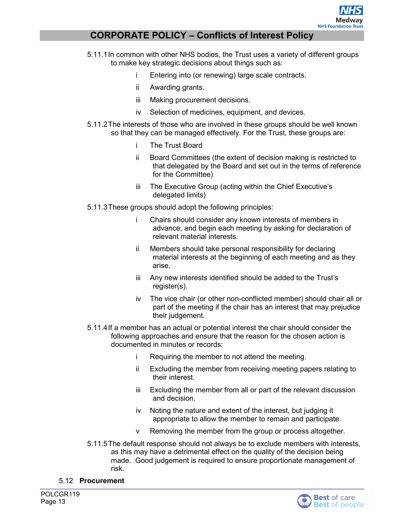

- 5.11.1In common with other NHS bodies, the Trust uses a variety of different groups to make key strategic decisions about things such as:
	- i Entering into (or renewing) large scale contracts.
	- ii Awarding grants.
	- iii Making procurement decisions.
	- iv Selection of medicines, equipment, and devices.
- 5.11.2The interests of those who are involved in these groups should be well known so that they can be managed effectively. For the Trust, these groups are:
	- i The Trust Board
	- ii Board Committees (the extent of decision making is restricted to that delegated by the Board and set out in the terms of reference for the Committee)
	- iii The Executive Group (acting within the Chief Executive's delegated limits)
- 5.11.3These groups should adopt the following principles:
	- i Chairs should consider any known interests of members in advance, and begin each meeting by asking for declaration of relevant material interests.
	- ii Members should take personal responsibility for declaring material interests at the beginning of each meeting and as they arise.
	- iii Any new interests identified should be added to the Trust's register(s).
	- iv The vice chair (or other non-conflicted member) should chair all or part of the meeting if the chair has an interest that may prejudice their judgement.
- 5.11.4If a member has an actual or potential interest the chair should consider the following approaches and ensure that the reason for the chosen action is documented in minutes or records:
	- i Requiring the member to not attend the meeting.
	- ii Excluding the member from receiving meeting papers relating to their interest.
	- iii Excluding the member from all or part of the relevant discussion and decision.
	- iv Noting the nature and extent of the interest, but judging it appropriate to allow the member to remain and participate.
	- v Removing the member from the group or process altogether.
- 5.11.5The default response should not always be to exclude members with interests, as this may have a detrimental effect on the quality of the decision being made. Good judgement is required to ensure proportionate management of risk.
- 5.12 **Procurement**

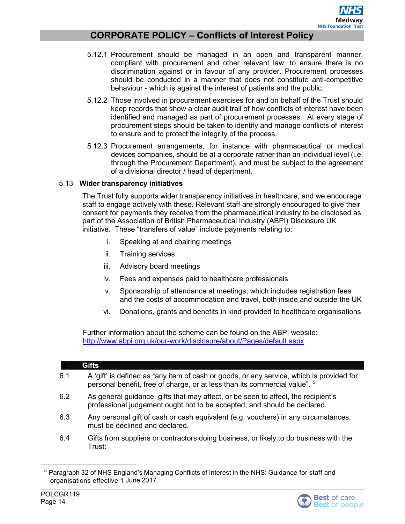- 5.12.1 Procurement should be managed in an open and transparent manner, compliant with procurement and other relevant law, to ensure there is no discrimination against or in favour of any provider. Procurement processes should be conducted in a manner that does not constitute anti-competitive behaviour - which is against the interest of patients and the public.
- 5.12.2 Those involved in procurement exercises for and on behalf of the Trust should keep records that show a clear audit trail of how conflicts of interest have been identified and managed as part of procurement processes. At every stage of procurement steps should be taken to identify and manage conflicts of interest to ensure and to protect the integrity of the process.
- 5.12.3 Procurement arrangements, for instance with pharmaceutical or medical devices companies, should be at a corporate rather than an individual level (i.e. through the Procurement Department), and must be subject to the agreement of a divisional director / head of department.

#### 5.13 **Wider transparency initiatives**

The Trust fully supports wider transparency initiatives in healthcare, and we encourage staff to engage actively with these. Relevant staff are strongly encouraged to give their consent for payments they receive from the pharmaceutical industry to be disclosed as part of the Association of British Pharmaceutical Industry (ABPI) Disclosure UK initiative. These "transfers of value" include payments relating to:

- i. Speaking at and chairing meetings
- ii. Training services
- iii. Advisory board meetings
- iv. Fees and expenses paid to healthcare professionals
- v. Sponsorship of attendance at meetings, which includes registration fees and the costs of accommodation and travel, both inside and outside the UK
- vi. Donations, grants and benefits in kind provided to healthcare organisations

Further information about the scheme can be found on the ABPI website: <http://www.abpi.org.uk/our-work/disclosure/about/Pages/default.aspx>

#### **Gifts**

- <span id="page-13-0"></span>6.1 A 'gift' is defined as "any item of cash or goods, or any service, which is provided for personal benefit, free of charge, or at less than its commercial value". <sup>[5](#page-13-1)</sup>
- 6.2 As general guidance, gifts that may affect, or be seen to affect, the recipient's professional judgement ought not to be accepted, and should be declared.
- 6.3 Any personal gift of cash or cash equivalent (e.g. vouchers) in any circumstances, must be declined and declared.
- 6.4 Gifts from suppliers or contractors doing business, or likely to do business with the Trust:

<span id="page-13-1"></span><sup>&</sup>lt;sup>5</sup> Paragraph 32 of NHS England's Managing Conflicts of Interest in the NHS: Guidance for staff and organisations effective 1 June 2017.

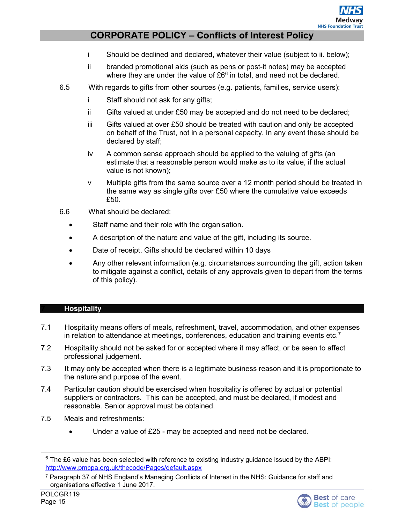- i Should be declined and declared, whatever their value (subject to ii. below);
- ii branded promotional aids (such as pens or post-it notes) may be accepted where they are under the value of  $£6<sup>6</sup>$  $£6<sup>6</sup>$  $£6<sup>6</sup>$  in total, and need not be declared.
- 6.5 With regards to gifts from other sources (e.g. patients, families, service users):
	- i Staff should not ask for any gifts;
	- ii Gifts valued at under £50 may be accepted and do not need to be declared;
	- iii Gifts valued at over £50 should be treated with caution and only be accepted on behalf of the Trust, not in a personal capacity. In any event these should be declared by staff;
	- iv A common sense approach should be applied to the valuing of gifts (an estimate that a reasonable person would make as to its value, if the actual value is not known);
	- v Multiple gifts from the same source over a 12 month period should be treated in the same way as single gifts over £50 where the cumulative value exceeds £50.
- 6.6 What should be declared:
	- Staff name and their role with the organisation.
	- A description of the nature and value of the gift, including its source.
	- Date of receipt. Gifts should be declared within 10 days
	- Any other relevant information (e.g. circumstances surrounding the gift, action taken to mitigate against a conflict, details of any approvals given to depart from the terms of this policy).

#### <span id="page-14-0"></span>**Hospitality**

- 7.1 Hospitality means offers of meals, refreshment, travel, accommodation, and other expenses in relation to attendance at meetings, conferences, education and training events etc.<sup>[7](#page-14-2)</sup>
- 7.2 Hospitality should not be asked for or accepted where it may affect, or be seen to affect professional judgement.
- 7.3 It may only be accepted when there is a legitimate business reason and it is proportionate to the nature and purpose of the event.
- 7.4 Particular caution should be exercised when hospitality is offered by actual or potential suppliers or contractors. This can be accepted, and must be declared, if modest and reasonable. Senior approval must be obtained.
- 7.5 Meals and refreshments:
	- Under a value of £25 may be accepted and need not be declared.

<span id="page-14-1"></span> $6$  The £6 value has been selected with reference to existing industry guidance issued by the ABPI: <http://www.pmcpa.org.uk/thecode/Pages/default.aspx>

<span id="page-14-2"></span><sup>7</sup> Paragraph 37 of NHS England's Managing Conflicts of Interest in the NHS: Guidance for staff and organisations effective 1 June 2017.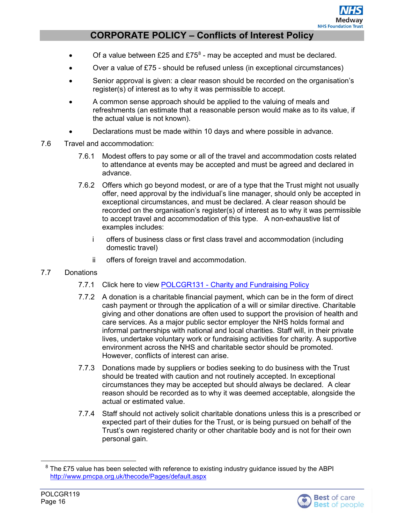- Of a value between £25 and  $£75^8$  $£75^8$  may be accepted and must be declared.
- Over a value of £75 should be refused unless (in exceptional circumstances)
- Senior approval is given: a clear reason should be recorded on the organisation's register(s) of interest as to why it was permissible to accept.
- A common sense approach should be applied to the valuing of meals and refreshments (an estimate that a reasonable person would make as to its value, if the actual value is not known).
- Declarations must be made within 10 days and where possible in advance.
- 7.6 Travel and accommodation:
	- 7.6.1 Modest offers to pay some or all of the travel and accommodation costs related to attendance at events may be accepted and must be agreed and declared in advance.
	- 7.6.2 Offers which go beyond modest, or are of a type that the Trust might not usually offer, need approval by the individual's line manager, should only be accepted in exceptional circumstances, and must be declared. A clear reason should be recorded on the organisation's register(s) of interest as to why it was permissible to accept travel and accommodation of this type. A non-exhaustive list of examples includes:
		- i offers of business class or first class travel and accommodation (including domestic travel)
		- ii offers of foreign travel and accommodation.

#### 7.7 Donations

- 7.7.1 Click here to view POLCGR131 [Charity and Fundraising Policy](http://qpulse-drs.medway.nhs.uk/Corporate/Documents.svc/documents/active/attachment?number=POLCGR131)
- 7.7.2 A donation is a charitable financial payment, which can be in the form of direct cash payment or through the application of a will or similar directive. Charitable giving and other donations are often used to support the provision of health and care services. As a major public sector employer the NHS holds formal and informal partnerships with national and local charities. Staff will, in their private lives, undertake voluntary work or fundraising activities for charity. A supportive environment across the NHS and charitable sector should be promoted. However, conflicts of interest can arise.
- 7.7.3 Donations made by suppliers or bodies seeking to do business with the Trust should be treated with caution and not routinely accepted. In exceptional circumstances they may be accepted but should always be declared. A clear reason should be recorded as to why it was deemed acceptable, alongside the actual or estimated value.
- 7.7.4 Staff should not actively solicit charitable donations unless this is a prescribed or expected part of their duties for the Trust, or is being pursued on behalf of the Trust's own registered charity or other charitable body and is not for their own personal gain.

<span id="page-15-0"></span> $8$  The £75 value has been selected with reference to existing industry guidance issued by the ABPI <http://www.pmcpa.org.uk/thecode/Pages/default.aspx>

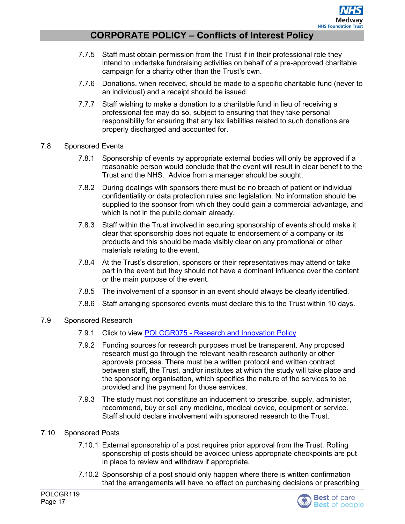- 7.7.5 Staff must obtain permission from the Trust if in their professional role they intend to undertake fundraising activities on behalf of a pre-approved charitable campaign for a charity other than the Trust's own.
- 7.7.6 Donations, when received, should be made to a specific charitable fund (never to an individual) and a receipt should be issued.
- 7.7.7 Staff wishing to make a donation to a charitable fund in lieu of receiving a professional fee may do so, subject to ensuring that they take personal responsibility for ensuring that any tax liabilities related to such donations are properly discharged and accounted for.
- 7.8 Sponsored Events
	- 7.8.1 Sponsorship of events by appropriate external bodies will only be approved if a reasonable person would conclude that the event will result in clear benefit to the Trust and the NHS. Advice from a manager should be sought.
	- 7.8.2 During dealings with sponsors there must be no breach of patient or individual confidentiality or data protection rules and legislation. No information should be supplied to the sponsor from which they could gain a commercial advantage, and which is not in the public domain already.
	- 7.8.3 Staff within the Trust involved in securing sponsorship of events should make it clear that sponsorship does not equate to endorsement of a company or its products and this should be made visibly clear on any promotional or other materials relating to the event.
	- 7.8.4 At the Trust's discretion, sponsors or their representatives may attend or take part in the event but they should not have a dominant influence over the content or the main purpose of the event.
	- 7.8.5 The involvement of a sponsor in an event should always be clearly identified.
	- 7.8.6 Staff arranging sponsored events must declare this to the Trust within 10 days.
- 7.9 Sponsored Research
	- 7.9.1 Click to view POLCGR075 [Research and Innovation Policy](http://qpulse-drs.medway.nhs.uk/Corporate/Documents.svc/documents/active/attachment?number=POLCGR075)
	- 7.9.2 Funding sources for research purposes must be transparent. Any proposed research must go through the relevant health research authority or other approvals process. There must be a written protocol and written contract between staff, the Trust, and/or institutes at which the study will take place and the sponsoring organisation, which specifies the nature of the services to be provided and the payment for those services.
	- 7.9.3 The study must not constitute an inducement to prescribe, supply, administer, recommend, buy or sell any medicine, medical device, equipment or service. Staff should declare involvement with sponsored research to the Trust.
- 7.10 Sponsored Posts
	- 7.10.1 External sponsorship of a post requires prior approval from the Trust. Rolling sponsorship of posts should be avoided unless appropriate checkpoints are put in place to review and withdraw if appropriate.
	- 7.10.2 Sponsorship of a post should only happen where there is written confirmation that the arrangements will have no effect on purchasing decisions or prescribing

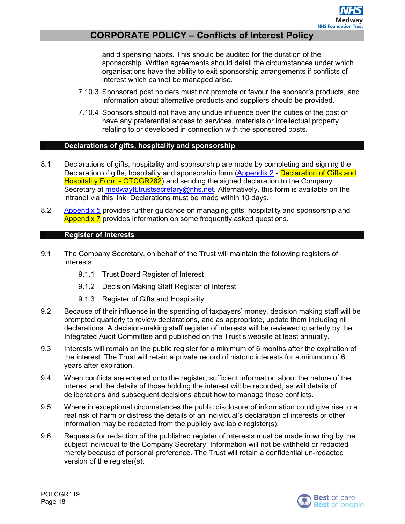and dispensing habits. This should be audited for the duration of the sponsorship. Written agreements should detail the circumstances under which organisations have the ability to exit sponsorship arrangements if conflicts of interest which cannot be managed arise.

- 7.10.3 Sponsored post holders must not promote or favour the sponsor's products, and information about alternative products and suppliers should be provided.
- 7.10.4 Sponsors should not have any undue influence over the duties of the post or have any preferential access to services, materials or intellectual property relating to or developed in connection with the sponsored posts.

#### **Declarations of gifts, hospitality and sponsorship**

- <span id="page-17-0"></span>8.1 Declarations of gifts, hospitality and sponsorship are made by completing and signing the Declaration of gifts, hospitality and sponsorship form [\(Appendix 2](#page-23-1) - Declaration of Gifts and Hospitality Form - OTCGR282) and sending the signed declaration to the Company Secretary at [medwayft.trustsecretary@nhs.net.](mailto:medwayft.trustsecretary@nhs.net) Alternatively, this form is available on the intranet via this link. Declarations must be made within 10 days.
- <span id="page-17-1"></span>8.2 [Appendix 5](#page-25-0) provides further guidance on managing gifts, hospitality and sponsorship and Appendix 7 provides information on some frequently asked questions.

#### **Register of Interests**

- 9.1 The Company Secretary, on behalf of the Trust will maintain the following registers of interests:
	- 9.1.1 Trust Board Register of Interest
	- 9.1.2 Decision Making Staff Register of Interest
	- 9.1.3 Register of Gifts and Hospitality
- 9.2 Because of their influence in the spending of taxpayers' money, decision making staff will be prompted quarterly to review declarations, and as appropriate, update them including nil declarations. A decision-making staff register of interests will be reviewed quarterly by the Integrated Audit Committee and published on the Trust's website at least annually.
- 9.3 Interests will remain on the public register for a minimum of 6 months after the expiration of the interest. The Trust will retain a private record of historic interests for a minimum of 6 years after expiration.
- 9.4 When conflicts are entered onto the register, sufficient information about the nature of the interest and the details of those holding the interest will be recorded, as will details of deliberations and subsequent decisions about how to manage these conflicts.
- 9.5 Where in exceptional circumstances the public disclosure of information could give rise to a real risk of harm or distress the details of an individual's declaration of interests or other information may be redacted from the publicly available register(s).
- 9.6 Requests for redaction of the published register of interests must be made in writing by the subject individual to the Company Secretary. Information will not be withheld or redacted merely because of personal preference. The Trust will retain a confidential un-redacted version of the register(s).

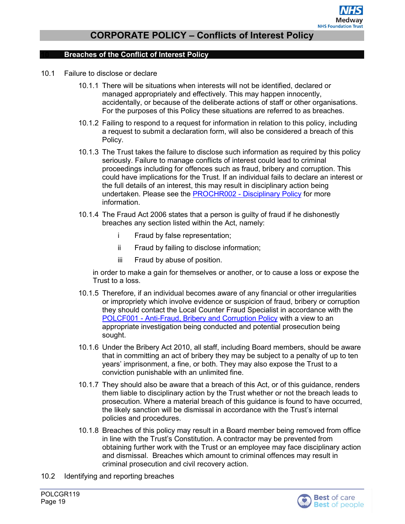#### <span id="page-18-0"></span>**Breaches of the Conflict of Interest Policy**

- 10.1 Failure to disclose or declare
	- 10.1.1 There will be situations when interests will not be identified, declared or managed appropriately and effectively. This may happen innocently, accidentally, or because of the deliberate actions of staff or other organisations. For the purposes of this Policy these situations are referred to as breaches.
	- 10.1.2 Failing to respond to a request for information in relation to this policy, including a request to submit a declaration form, will also be considered a breach of this Policy.
	- 10.1.3 The Trust takes the failure to disclose such information as required by this policy seriously. Failure to manage conflicts of interest could lead to criminal proceedings including for offences such as fraud, bribery and corruption. This could have implications for the Trust. If an individual fails to declare an interest or the full details of an interest, this may result in disciplinary action being undertaken. Please see the PROCHR002 - [Disciplinary Policy](http://qpulse-drs.medway.nhs.uk/Corporate/Documents.svc/documents/active/attachment?number=PROCHR002) for more information.
	- 10.1.4 The Fraud Act 2006 states that a person is guilty of fraud if he dishonestly breaches any section listed within the Act, namely:
		- i Fraud by false representation;
		- ii Fraud by failing to disclose information;
		- iii Fraud by abuse of position.

in order to make a gain for themselves or another, or to cause a loss or expose the Trust to a loss.

- 10.1.5 Therefore, if an individual becomes aware of any financial or other irregularities or impropriety which involve evidence or suspicion of fraud, bribery or corruption they should contact the Local Counter Fraud Specialist in accordance with the POLCF001 - [Anti-Fraud, Bribery and Corruption Policy](http://qpulse-drs.medway.nhs.uk/Corporate/Documents.svc/documents/active/attachment?number=POLCF001) with a view to an appropriate investigation being conducted and potential prosecution being sought.
- 10.1.6 Under the Bribery Act 2010, all staff, including Board members, should be aware that in committing an act of bribery they may be subject to a penalty of up to ten years' imprisonment, a fine, or both. They may also expose the Trust to a conviction punishable with an unlimited fine.
- 10.1.7 They should also be aware that a breach of this Act, or of this guidance, renders them liable to disciplinary action by the Trust whether or not the breach leads to prosecution. Where a material breach of this guidance is found to have occurred, the likely sanction will be dismissal in accordance with the Trust's internal policies and procedures.
- 10.1.8 Breaches of this policy may result in a Board member being removed from office in line with the Trust's Constitution. A contractor may be prevented from obtaining further work with the Trust or an employee may face disciplinary action and dismissal. Breaches which amount to criminal offences may result in criminal prosecution and civil recovery action.
- 10.2 Identifying and reporting breaches

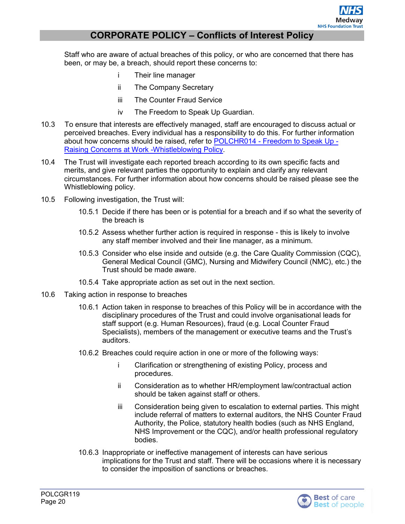Staff who are aware of actual breaches of this policy, or who are concerned that there has been, or may be, a breach, should report these concerns to:

- i Their line manager
- ii The Company Secretary
- iii The Counter Fraud Service
- iv The Freedom to Speak Up Guardian.
- 10.3 To ensure that interests are effectively managed, staff are encouraged to discuss actual or perceived breaches. Every individual has a responsibility to do this. For further information about how concerns should be raised, refer to POLCHR014 - [Freedom to Speak Up -](http://qpulse-drs.medway.nhs.uk/Corporate/Documents.svc/documents/active/attachment?number=POLCHR014) [Raising Concerns at Work -Whistleblowing Policy.](http://qpulse-drs.medway.nhs.uk/Corporate/Documents.svc/documents/active/attachment?number=POLCHR014)
- 10.4 The Trust will investigate each reported breach according to its own specific facts and merits, and give relevant parties the opportunity to explain and clarify any relevant circumstances. For further information about how concerns should be raised please see the Whistleblowing policy.
- 10.5 Following investigation, the Trust will:
	- 10.5.1 Decide if there has been or is potential for a breach and if so what the severity of the breach is
	- 10.5.2 Assess whether further action is required in response this is likely to involve any staff member involved and their line manager, as a minimum.
	- 10.5.3 Consider who else inside and outside (e.g. the Care Quality Commission (CQC), General Medical Council (GMC), Nursing and Midwifery Council (NMC), etc.) the Trust should be made aware.
	- 10.5.4 Take appropriate action as set out in the next section.
- 10.6 Taking action in response to breaches
	- 10.6.1 Action taken in response to breaches of this Policy will be in accordance with the disciplinary procedures of the Trust and could involve organisational leads for staff support (e.g. Human Resources), fraud (e.g. Local Counter Fraud Specialists), members of the management or executive teams and the Trust's auditors.
	- 10.6.2 Breaches could require action in one or more of the following ways:
		- i Clarification or strengthening of existing Policy, process and procedures.
		- ii Consideration as to whether HR/employment law/contractual action should be taken against staff or others.
		- iii Consideration being given to escalation to external parties. This might include referral of matters to external auditors, the NHS Counter Fraud Authority, the Police, statutory health bodies (such as NHS England, NHS Improvement or the CQC), and/or health professional regulatory bodies.
	- 10.6.3 Inappropriate or ineffective management of interests can have serious implications for the Trust and staff. There will be occasions where it is necessary to consider the imposition of sanctions or breaches.

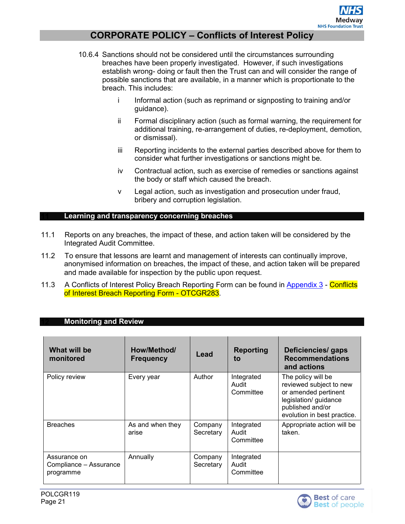- 10.6.4 Sanctions should not be considered until the circumstances surrounding breaches have been properly investigated. However, if such investigations establish wrong- doing or fault then the Trust can and will consider the range of possible sanctions that are available, in a manner which is proportionate to the breach. This includes:
	- i Informal action (such as reprimand or signposting to training and/or guidance).
	- ii Formal disciplinary action (such as formal warning, the requirement for additional training, re-arrangement of duties, re-deployment, demotion, or dismissal).
	- iii Reporting incidents to the external parties described above for them to consider what further investigations or sanctions might be.
	- iv Contractual action, such as exercise of remedies or sanctions against the body or staff which caused the breach.
	- v Legal action, such as investigation and prosecution under fraud, bribery and corruption legislation.

#### <span id="page-20-0"></span>**Learning and transparency concerning breaches**

- 11.1 Reports on any breaches, the impact of these, and action taken will be considered by the Integrated Audit Committee.
- 11.2 To ensure that lessons are learnt and management of interests can continually improve, anonymised information on breaches, the impact of these, and action taken will be prepared and made available for inspection by the public upon request.
- 11.3 A Conflicts of Interest Policy Breach Reporting Form can be found in [Appendix 3](#page-23-2) Conflicts of Interest Breach Reporting Form - OTCGR283.

#### <span id="page-20-1"></span>**Monitoring and Review**

| What will be<br>monitored                           | How/Method/<br><b>Frequency</b> | Lead                 | <b>Reporting</b><br>to           | Deficiencies/ gaps<br><b>Recommendations</b><br>and actions                                                                                       |
|-----------------------------------------------------|---------------------------------|----------------------|----------------------------------|---------------------------------------------------------------------------------------------------------------------------------------------------|
| Policy review                                       | Every year                      | Author               | Integrated<br>Audit<br>Committee | The policy will be<br>reviewed subject to new<br>or amended pertinent<br>legislation/ guidance<br>published and/or<br>evolution in best practice. |
| <b>Breaches</b>                                     | As and when they<br>arise       | Company<br>Secretary | Integrated<br>Audit<br>Committee | Appropriate action will be<br>taken.                                                                                                              |
| Assurance on<br>Compliance - Assurance<br>programme | Annually                        | Company<br>Secretary | Integrated<br>Audit<br>Committee |                                                                                                                                                   |

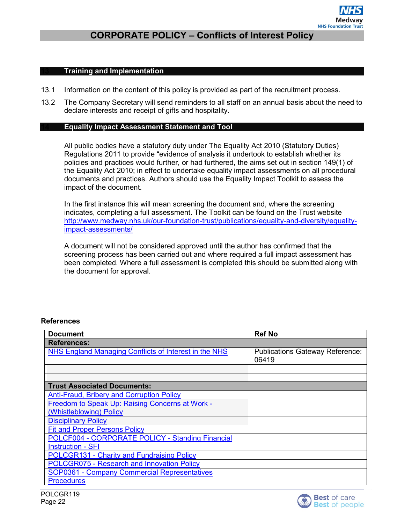#### <span id="page-21-0"></span>**Training and Implementation**

- 13.1 Information on the content of this policy is provided as part of the recruitment process.
- <span id="page-21-1"></span>13.2 The Company Secretary will send reminders to all staff on an annual basis about the need to declare interests and receipt of gifts and hospitality.

#### **Equality Impact Assessment Statement and Tool**

All public bodies have a statutory duty under The Equality Act 2010 (Statutory Duties) Regulations 2011 to provide "evidence of analysis it undertook to establish whether its policies and practices would further, or had furthered, the aims set out in section 149(1) of the Equality Act 2010; in effect to undertake equality impact assessments on all procedural documents and practices. Authors should use the Equality Impact Toolkit to assess the impact of the document.

In the first instance this will mean screening the document and, where the screening indicates, completing a full assessment. The Toolkit can be found on the Trust website [http://www.medway.nhs.uk/our-foundation-trust/publications/equality-and-diversity/equality](http://www.medway.nhs.uk/our-foundation-trust/publications/equality-and-diversity/equality-impact-assessments/)[impact-assessments/](http://www.medway.nhs.uk/our-foundation-trust/publications/equality-and-diversity/equality-impact-assessments/)

A document will not be considered approved until the author has confirmed that the screening process has been carried out and where required a full impact assessment has been completed. Where a full assessment is completed this should be submitted along with the document for approval.

#### **References**

| <b>Document</b>                                              | <b>Ref No</b>                                   |
|--------------------------------------------------------------|-------------------------------------------------|
| <b>References:</b>                                           |                                                 |
| <b>NHS England Managing Conflicts of Interest in the NHS</b> | <b>Publications Gateway Reference:</b><br>06419 |
|                                                              |                                                 |
|                                                              |                                                 |
| <b>Trust Associated Documents:</b>                           |                                                 |
| <b>Anti-Fraud, Bribery and Corruption Policy</b>             |                                                 |
| Freedom to Speak Up: Raising Concerns at Work -              |                                                 |
| (Whistleblowing) Policy                                      |                                                 |
| <b>Disciplinary Policy</b>                                   |                                                 |
| <b>Fit and Proper Persons Policy</b>                         |                                                 |
| <b>POLCF004 - CORPORATE POLICY - Standing Financial</b>      |                                                 |
| <b>Instruction - SFI</b>                                     |                                                 |
| POLCGR131 - Charity and Fundraising Policy                   |                                                 |
| POLCGR075 - Research and Innovation Policy                   |                                                 |
| <b>SOP0361 - Company Commercial Representatives</b>          |                                                 |
| <b>Procedures</b>                                            |                                                 |

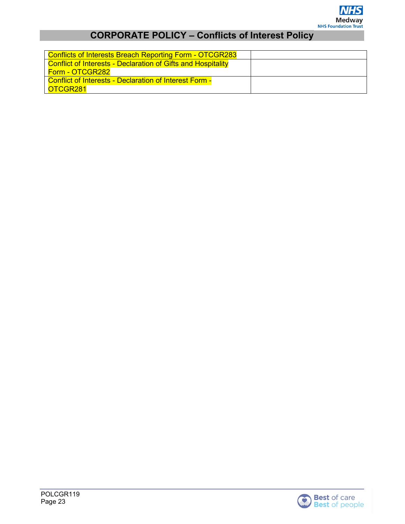

| <b>Conflicts of Interests Breach Reporting Form - OTCGR283</b>      |  |
|---------------------------------------------------------------------|--|
| <b>Conflict of Interests - Declaration of Gifts and Hospitality</b> |  |
| Form - OTCGR282                                                     |  |
| <b>Conflict of Interests - Declaration of Interest Form -</b>       |  |
| OTCGR281                                                            |  |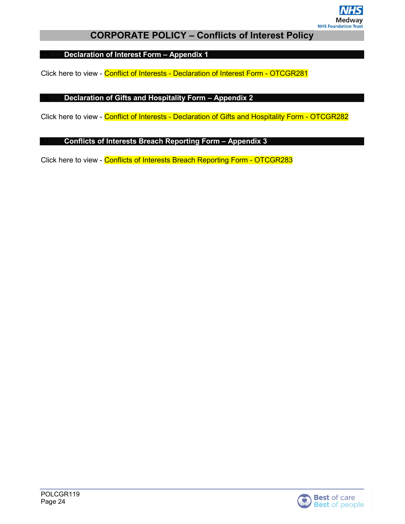

<span id="page-23-3"></span><span id="page-23-0"></span>**Declaration of Interest Form – Appendix 1**

<span id="page-23-1"></span>Click here to view - Conflict of Interests - Declaration of Interest Form - OTCGR281

#### **Declaration of Gifts and Hospitality Form – Appendix 2**

<span id="page-23-2"></span>Click here to view - Conflict of Interests - Declaration of Gifts and Hospitality Form - OTCGR282

#### **Conflicts of Interests Breach Reporting Form – Appendix 3**

Click here to view - Conflicts of Interests Breach Reporting Form - OTCGR283

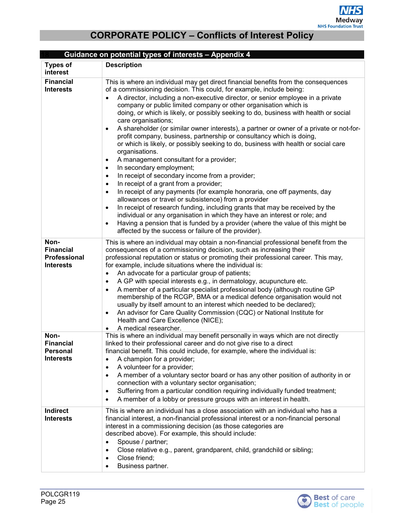<span id="page-24-0"></span>

|                                                                     | Guidance on potential types of interests - Appendix 4                                                                                                                                                                                                                                                                                                                                                                                                                                                                                                                                                                                                                                                                                                                                                                                                                                                                                                                                                                                                                                                                                                                                                                                                                                                                                                                                                                      |
|---------------------------------------------------------------------|----------------------------------------------------------------------------------------------------------------------------------------------------------------------------------------------------------------------------------------------------------------------------------------------------------------------------------------------------------------------------------------------------------------------------------------------------------------------------------------------------------------------------------------------------------------------------------------------------------------------------------------------------------------------------------------------------------------------------------------------------------------------------------------------------------------------------------------------------------------------------------------------------------------------------------------------------------------------------------------------------------------------------------------------------------------------------------------------------------------------------------------------------------------------------------------------------------------------------------------------------------------------------------------------------------------------------------------------------------------------------------------------------------------------------|
| <b>Types of</b><br>interest                                         | <b>Description</b>                                                                                                                                                                                                                                                                                                                                                                                                                                                                                                                                                                                                                                                                                                                                                                                                                                                                                                                                                                                                                                                                                                                                                                                                                                                                                                                                                                                                         |
| <b>Financial</b><br><b>Interests</b>                                | This is where an individual may get direct financial benefits from the consequences<br>of a commissioning decision. This could, for example, include being:<br>A director, including a non-executive director, or senior employee in a private<br>$\bullet$<br>company or public limited company or other organisation which is<br>doing, or which is likely, or possibly seeking to do, business with health or social<br>care organisations;<br>A shareholder (or similar owner interests), a partner or owner of a private or not-for-<br>$\bullet$<br>profit company, business, partnership or consultancy which is doing,<br>or which is likely, or possibly seeking to do, business with health or social care<br>organisations.<br>A management consultant for a provider;<br>٠<br>In secondary employment;<br>٠<br>In receipt of secondary income from a provider;<br>$\bullet$<br>In receipt of a grant from a provider;<br>$\bullet$<br>In receipt of any payments (for example honoraria, one off payments, day<br>$\bullet$<br>allowances or travel or subsistence) from a provider<br>In receipt of research funding, including grants that may be received by the<br>$\bullet$<br>individual or any organisation in which they have an interest or role; and<br>Having a pension that is funded by a provider (where the value of this might be<br>٠<br>affected by the success or failure of the provider). |
| Non-<br><b>Financial</b><br><b>Professional</b><br><b>Interests</b> | This is where an individual may obtain a non-financial professional benefit from the<br>consequences of a commissioning decision, such as increasing their<br>professional reputation or status or promoting their professional career. This may,<br>for example, include situations where the individual is:<br>An advocate for a particular group of patients;<br>$\bullet$<br>A GP with special interests e.g., in dermatology, acupuncture etc.<br>$\bullet$<br>A member of a particular specialist professional body (although routine GP<br>$\bullet$<br>membership of the RCGP, BMA or a medical defence organisation would not<br>usually by itself amount to an interest which needed to be declared);<br>An advisor for Care Quality Commission (CQC) or National Institute for<br>$\bullet$<br>Health and Care Excellence (NICE);<br>A medical researcher.<br>$\bullet$                                                                                                                                                                                                                                                                                                                                                                                                                                                                                                                                         |
| Non-<br><b>Financial</b><br><b>Personal</b><br><b>Interests</b>     | This is where an individual may benefit personally in ways which are not directly<br>linked to their professional career and do not give rise to a direct<br>financial benefit. This could include, for example, where the individual is:<br>A champion for a provider;<br>$\bullet$<br>A volunteer for a provider;<br>$\bullet$<br>A member of a voluntary sector board or has any other position of authority in or<br>$\bullet$<br>connection with a voluntary sector organisation;<br>Suffering from a particular condition requiring individually funded treatment;<br>$\bullet$<br>A member of a lobby or pressure groups with an interest in health.<br>$\bullet$                                                                                                                                                                                                                                                                                                                                                                                                                                                                                                                                                                                                                                                                                                                                                   |
| Indirect<br><b>Interests</b>                                        | This is where an individual has a close association with an individual who has a<br>financial interest, a non-financial professional interest or a non-financial personal<br>interest in a commissioning decision (as those categories are<br>described above). For example, this should include:<br>Spouse / partner;<br>$\bullet$<br>Close relative e.g., parent, grandparent, child, grandchild or sibling;<br>$\bullet$<br>Close friend;<br>$\bullet$<br>Business partner.<br>$\bullet$                                                                                                                                                                                                                                                                                                                                                                                                                                                                                                                                                                                                                                                                                                                                                                                                                                                                                                                                |

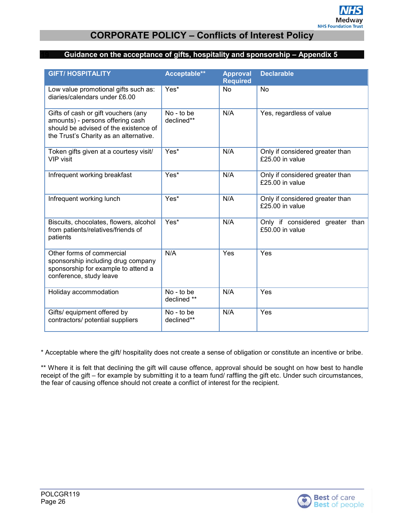#### <span id="page-25-1"></span><span id="page-25-0"></span>**Guidance on the acceptance of gifts, hospitality and sponsorship – Appendix 5**

| <b>GIFT/HOSPITALITY</b>                                                                                                                                    | Acceptable**              | <b>Approval</b><br><b>Required</b> | <b>Declarable</b>                                    |
|------------------------------------------------------------------------------------------------------------------------------------------------------------|---------------------------|------------------------------------|------------------------------------------------------|
| Low value promotional gifts such as:<br>diaries/calendars under £6.00                                                                                      | Yes*                      | <b>No</b>                          | No                                                   |
| Gifts of cash or gift vouchers (any<br>amounts) - persons offering cash<br>should be advised of the existence of<br>the Trust's Charity as an alternative. | No - to be<br>declined**  | N/A                                | Yes, regardless of value                             |
| Token gifts given at a courtesy visit/<br><b>VIP</b> visit                                                                                                 | $Yes*$                    | N/A                                | Only if considered greater than<br>$£25.00$ in value |
| Infrequent working breakfast                                                                                                                               | Yes*                      | N/A                                | Only if considered greater than<br>$£25.00$ in value |
| Infrequent working lunch                                                                                                                                   | Yes*                      | N/A                                | Only if considered greater than<br>£25.00 in value   |
| Biscuits, chocolates, flowers, alcohol<br>from patients/relatives/friends of<br>patients                                                                   | Yes*                      | N/A                                | Only if considered greater than<br>£50.00 in value   |
| Other forms of commercial<br>sponsorship including drug company<br>sponsorship for example to attend a<br>conference, study leave                          | N/A                       | Yes                                | Yes                                                  |
| Holiday accommodation                                                                                                                                      | No - to be<br>declined ** | N/A                                | Yes                                                  |
| Gifts/ equipment offered by<br>contractors/ potential suppliers                                                                                            | No - to be<br>declined**  | N/A                                | Yes                                                  |

\* Acceptable where the gift/ hospitality does not create a sense of obligation or constitute an incentive or bribe.

\*\* Where it is felt that declining the gift will cause offence, approval should be sought on how best to handle receipt of the gift – for example by submitting it to a team fund/ raffling the gift etc. Under such circumstances, the fear of causing offence should not create a conflict of interest for the recipient.

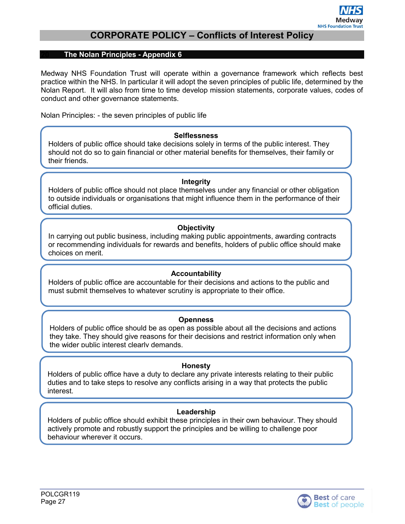#### <span id="page-26-0"></span>**The Nolan Principles - Appendix 6**

Medway NHS Foundation Trust will operate within a governance framework which reflects best practice within the NHS. In particular it will adopt the seven principles of public life, determined by the Nolan Report. It will also from time to time develop mission statements, corporate values, codes of conduct and other governance statements.

Nolan Principles: - the seven principles of public life

#### **Selflessness**

Holders of public office should take decisions solely in terms of the public interest. They should not do so to gain financial or other material benefits for themselves, their family or their friends.

#### **Integrity**

Holders of public office should not place themselves under any financial or other obligation to outside individuals or organisations that might influence them in the performance of their official duties.

#### **Objectivity**

In carrying out public business, including making public appointments, awarding contracts or recommending individuals for rewards and benefits, holders of public office should make choices on merit.

#### **Accountability**

Holders of public office are accountable for their decisions and actions to the public and must submit themselves to whatever scrutiny is appropriate to their office.

#### **Openness**

Holders of public office should be as open as possible about all the decisions and actions they take. They should give reasons for their decisions and restrict information only when the wider public interest clearly demands.

#### **Honesty**

Holders of public office have a duty to declare any private interests relating to their public duties and to take steps to resolve any conflicts arising in a way that protects the public interest.

#### **Leadership**

Holders of public office should exhibit these principles in their own behaviour. They should actively promote and robustly support the principles and be willing to challenge poor behaviour wherever it occurs.